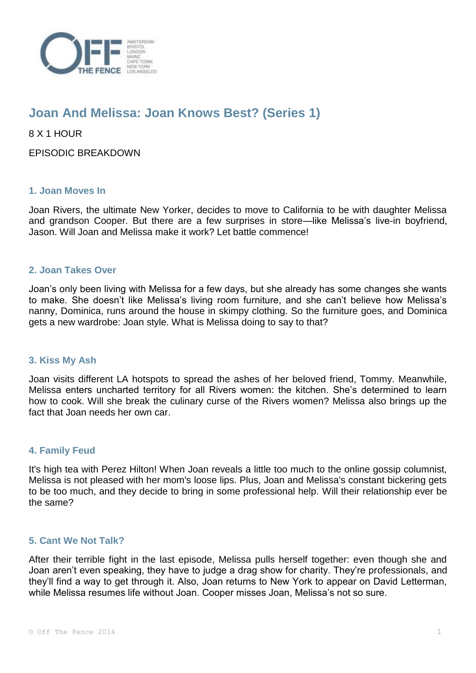

# **Joan And Melissa: Joan Knows Best? (Series 1)**

8 X 1 HOUR

EPISODIC BREAKDOWN

## **1. Joan Moves In**

Joan Rivers, the ultimate New Yorker, decides to move to California to be with daughter Melissa and grandson Cooper. But there are a few surprises in store—like Melissa's live-in boyfriend, Jason. Will Joan and Melissa make it work? Let battle commence!

## **2. Joan Takes Over**

Joan's only been living with Melissa for a few days, but she already has some changes she wants to make. She doesn't like Melissa's living room furniture, and she can't believe how Melissa's nanny, Dominica, runs around the house in skimpy clothing. So the furniture goes, and Dominica gets a new wardrobe: Joan style. What is Melissa doing to say to that?

#### **3. Kiss My Ash**

Joan visits different LA hotspots to spread the ashes of her beloved friend, Tommy. Meanwhile, Melissa enters uncharted territory for all Rivers women: the kitchen. She's determined to learn how to cook. Will she break the culinary curse of the Rivers women? Melissa also brings up the fact that Joan needs her own car.

#### **4. Family Feud**

It's high tea with Perez Hilton! When Joan reveals a little too much to the online gossip columnist, Melissa is not pleased with her mom's loose lips. Plus, Joan and Melissa's constant bickering gets to be too much, and they decide to bring in some professional help. Will their relationship ever be the same?

#### **5. Cant We Not Talk?**

After their terrible fight in the last episode, Melissa pulls herself together: even though she and Joan aren't even speaking, they have to judge a drag show for charity. They're professionals, and they'll find a way to get through it. Also, Joan returns to New York to appear on David Letterman, while Melissa resumes life without Joan. Cooper misses Joan, Melissa's not so sure.